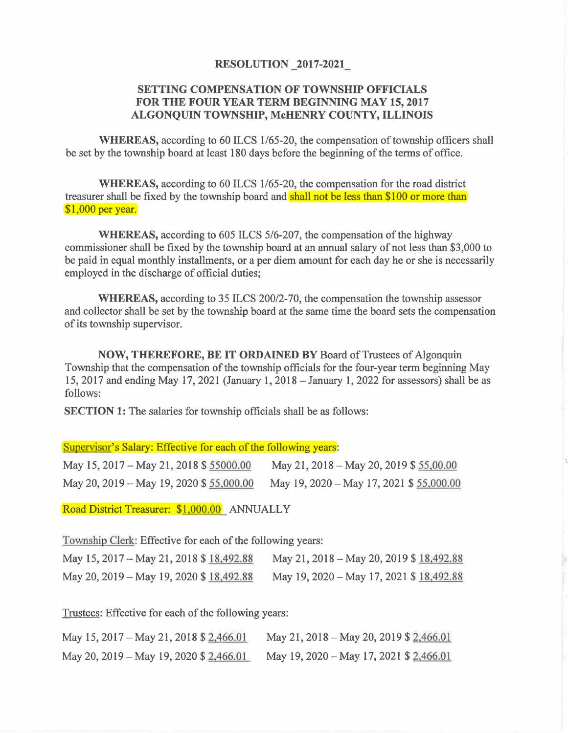## **RESOLUTION 2017-2021**

## **SETTING COMPENSATION OF TOWNSHIP OFFICIALS FOR THE FOUR YEAR TERM BEGINNING MAY 15, 2017 ALGONQUIN TOWNSHIP, McHENRY COUNTY, ILLINOIS**

**WHEREAS,** according to 60 ILCS 1/65-20, the compensation of township officers shall be set by the township board at least 180 days before the beginning of the terms of office.

**WHEREAS,** according to 60 ILCS 1/65-20, the compensation for the road district treasurer shall be fixed by the township board and shall not be less than \$100 or more than \$1,000 per year.

**WHEREAS,** according to 605 ILCS 5/6-207, the compensation of the highway commissioner shall be fixed by the township board at an annual salary of not less than \$3,000 to be paid in equal monthly installments, or a per diem amount for each day he or she is necessarily employed in the discharge of official duties;

**WHEREAS,** according to 35 ILCS 200/2-70, the compensation the township assessor and collector shall be set by the township board at the same time the board sets the compensation of its township supervisor.

**NOW, THEREFORE, BE IT ORDAINED BY** Board of Trustees of Algonquin Township that the compensation of the township officials for the four-year term beginning May 15, 2017 and ending May 17, 2021 (January 1, 2018 -January 1, 2022 for assessors) shall be as follows:

**SECTION 1:** The salaries for township officials shall be as follows:

Supervisor's Salary: Effective for each of the following years:

| May 15, 2017 – May 21, 2018 \$ 55000.00  | May 21, 2018 – May 20, 2019 \$ 55,00.00  |
|------------------------------------------|------------------------------------------|
| May 20, 2019 – May 19, 2020 \$ 55,000.00 | May 19, 2020 – May 17, 2021 \$ 55,000.00 |

Road District Treasurer: \$1.000.00 ANNUALLY

Township Clerk: Effective for each of the following years:

| May 15, 2017 – May 21, 2018 \$ 18,492.88 | May 21, 2018 - May 20, 2019 \$18,492.88  |
|------------------------------------------|------------------------------------------|
| May 20, 2019 - May 19, 2020 \$ 18,492.88 | May 19, 2020 - May 17, 2021 \$ 18,492.88 |

Trustees: Effective for each of the following years:

| May 15, 2017 – May 21, 2018 \$ 2,466.01 | May 21, 2018 – May 20, 2019 \$ 2,466.01 |
|-----------------------------------------|-----------------------------------------|
| May 20, 2019 – May 19, 2020 \$ 2,466.01 | May 19, 2020 – May 17, 2021 \$ 2,466.01 |